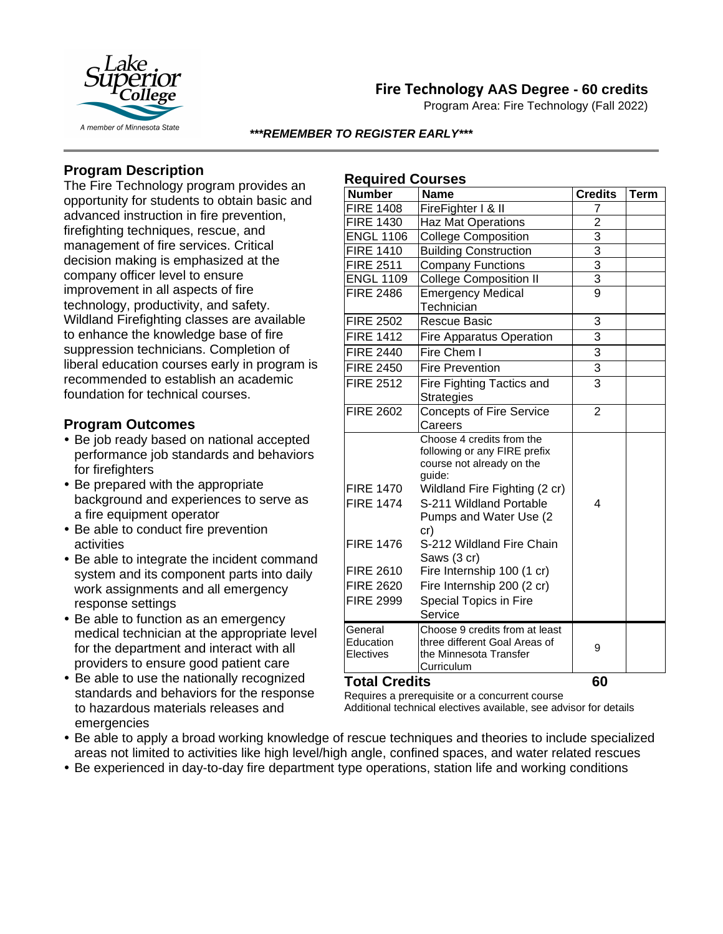

# **Fire Technology AAS Degree - 60 credits**

Program Area: Fire Technology (Fall 2022)

#### *\*\*\*REMEMBER TO REGISTER EARLY\*\*\**

**Required Courses**

## **Program Description**

The Fire Technology program provides an opportunity for students to obtain basic and advanced instruction in fire prevention, firefighting techniques, rescue, and management of fire services. Critical decision making is emphasized at the company officer level to ensure improvement in all aspects of fire technology, productivity, and safety. Wildland Firefighting classes are available to enhance the knowledge base of fire suppression technicians. Completion of liberal education courses early in program is recommended to establish an academic foundation for technical courses.

### **Program Outcomes**

- Be job ready based on national accepted performance job standards and behaviors for firefighters
- Be prepared with the appropriate background and experiences to serve as a fire equipment operator
- Be able to conduct fire prevention activities
- Be able to integrate the incident command system and its component parts into daily work assignments and all emergency response settings
- Be able to function as an emergency medical technician at the appropriate level for the department and interact with all providers to ensure good patient care
- Be able to use the nationally recognized standards and behaviors for the response to hazardous materials releases and emergencies

| <b>Number</b>                        | Name                                                                                                                                                         | <b>Credits</b> | Term |
|--------------------------------------|--------------------------------------------------------------------------------------------------------------------------------------------------------------|----------------|------|
| <b>FIRE 1408</b>                     | FireFighter I & II                                                                                                                                           | 7              |      |
| <b>FIRE 1430</b>                     | Haz Mat Operations                                                                                                                                           | $\overline{2}$ |      |
| <b>ENGL 1106</b>                     | College Composition                                                                                                                                          | $\overline{3}$ |      |
| <b>FIRE 1410</b>                     | <b>Building Construction</b>                                                                                                                                 | $\overline{3}$ |      |
| <b>FIRE 2511</b>                     | <b>Company Functions</b>                                                                                                                                     | $\overline{3}$ |      |
| <b>ENGL 1109</b>                     | <b>College Composition II</b>                                                                                                                                | 3              |      |
| <b>FIRE 2486</b>                     | <b>Emergency Medical</b><br>Technician                                                                                                                       | $\overline{9}$ |      |
| <b>FIRE 2502</b>                     | <b>Rescue Basic</b>                                                                                                                                          | 3              |      |
| <b>FIRE 1412</b>                     | <b>Fire Apparatus Operation</b>                                                                                                                              | 3              |      |
| <b>FIRE 2440</b>                     | Fire Chem I                                                                                                                                                  | $\overline{3}$ |      |
| <b>FIRE 2450</b>                     | <b>Fire Prevention</b>                                                                                                                                       | $\overline{3}$ |      |
| <b>FIRE 2512</b>                     | Fire Fighting Tactics and<br><b>Strategies</b>                                                                                                               | 3              |      |
| <b>FIRE 2602</b>                     | <b>Concepts of Fire Service</b><br>Careers                                                                                                                   | $\overline{2}$ |      |
| <b>FIRE 1470</b><br><b>FIRE 1474</b> | Choose 4 credits from the<br>following or any FIRE prefix<br>course not already on the<br>guide:<br>Wildland Fire Fighting (2 cr)<br>S-211 Wildland Portable | 4              |      |
| <b>FIRE 1476</b>                     | Pumps and Water Use (2<br>cr)<br>S-212 Wildland Fire Chain                                                                                                   |                |      |
|                                      | Saws (3 cr)                                                                                                                                                  |                |      |
| <b>FIRE 2610</b>                     | Fire Internship 100 (1 cr)                                                                                                                                   |                |      |
| <b>FIRE 2620</b>                     | Fire Internship 200 (2 cr)                                                                                                                                   |                |      |
| <b>FIRE 2999</b>                     | Special Topics in Fire<br>Service                                                                                                                            |                |      |
| General<br>Education<br>Electives    | Choose 9 credits from at least<br>three different Goal Areas of<br>the Minnesota Transfer<br>Curriculum                                                      | 9              |      |
| <b>Total Credits</b>                 |                                                                                                                                                              | 60             |      |

Requires a prerequisite or a concurrent course

Additional technical electives available, see advisor for details

- Be able to apply a broad working knowledge of rescue techniques and theories to include specialized areas not limited to activities like high level/high angle, confined spaces, and water related rescues
- Be experienced in day-to-day fire department type operations, station life and working conditions